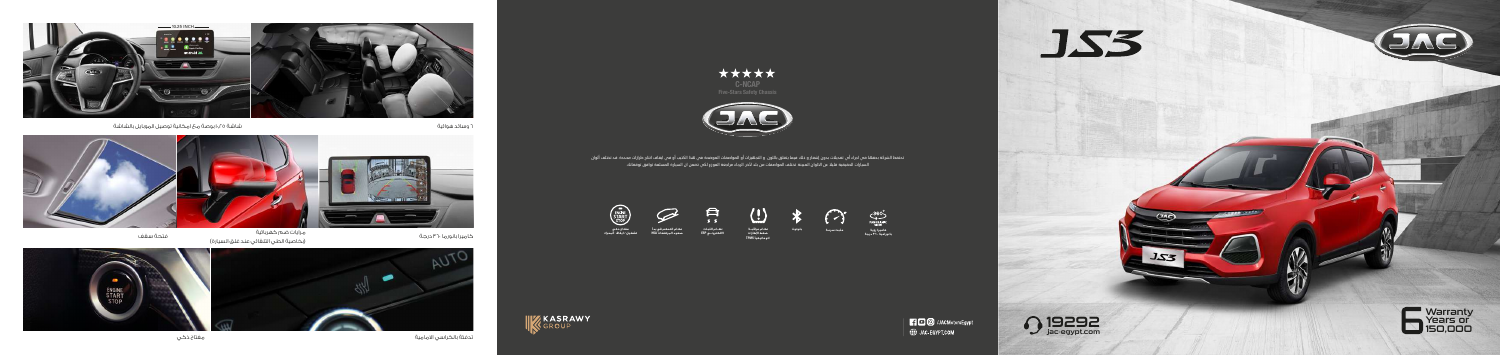



jac-egypt.com



تحتفظ الشركة بحقها في اجراء أي تعديلات بدون إشعار و ذلك فيما يتعلق باللون و التجهيزات أو المواصفات الموضحة في هذا الكتيب أو في ايقاف انتاج طرازات محددة. قد تختلف ألوان السيارات الحقيقية قليلا عن الالوان المبينة. تختلف المواصفات من بلد لآخر. الرجاء مراجعة الموزع لكي تضمن ان السيارة المسلمة توافق توقعاتك.







 $\bigodot$ 





**نظـام مراقبــة ضغط اطارات اتوماتيكي
 TPMS**





**نظــام الثبـات الالكترونــي ESP**

नि



**مفتاح ذكي تشغيل / ايقاف المحرك** 

ENGINE<br>START

**كاميرا رؤية مثبت سرعـة بلوتوث بانورامية ٠ ٣٦ درجة** 









تدفئة بالكراسي الامامية مفتاح ذكي

كاميرا بانورما ٣٦٠ درجة فتحة سقف (بخاصية الطي التلقائي عند غلق السيارة) مرايات ضم كهربائية



٦ وسائد هوائية شاشة ١٠٬٢٥ بوصة مع امكانية توصيل الموبايل بالشاشة